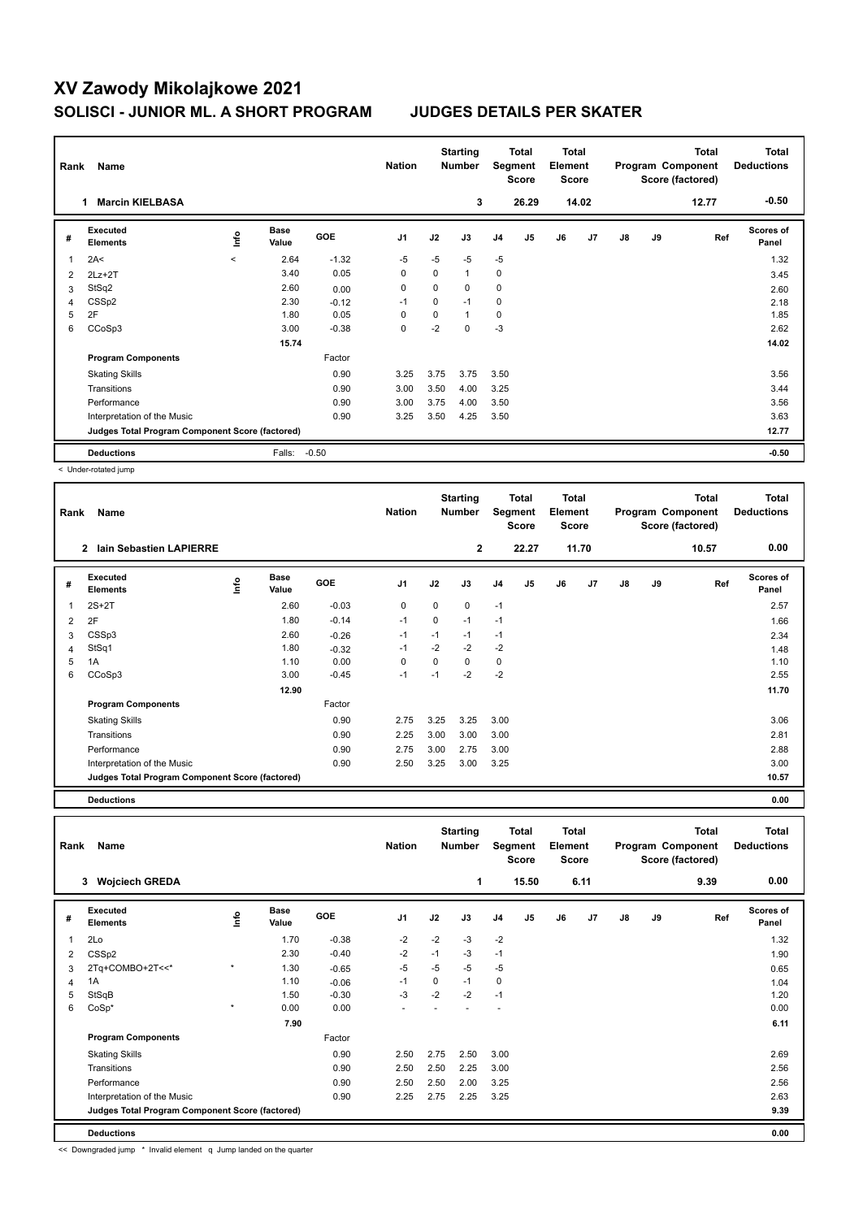## **XV Zawody Mikolajkowe 2021 SOLISCI - JUNIOR ML. A SHORT PROGRAM JUDGES DETAILS PER SKATER**

| Rank<br>Name |                                                 |         |                      | <b>Nation</b> |                | <b>Starting</b><br><b>Number</b> | <b>Total</b><br>Segment<br><b>Score</b> |                | <b>Total</b><br>Element<br><b>Score</b> |    | <b>Total</b><br>Program Component<br>Score (factored) |    |    | <b>Total</b><br><b>Deductions</b> |                           |
|--------------|-------------------------------------------------|---------|----------------------|---------------|----------------|----------------------------------|-----------------------------------------|----------------|-----------------------------------------|----|-------------------------------------------------------|----|----|-----------------------------------|---------------------------|
|              | <b>Marcin KIELBASA</b><br>1                     |         |                      |               |                |                                  | 3                                       |                | 26.29                                   |    | 14.02                                                 |    |    | 12.77                             | $-0.50$                   |
| #            | <b>Executed</b><br><b>Elements</b>              | lnfo    | <b>Base</b><br>Value | <b>GOE</b>    | J <sub>1</sub> | J2                               | J3                                      | J <sub>4</sub> | J <sub>5</sub>                          | J6 | J7                                                    | J8 | J9 | Ref                               | <b>Scores of</b><br>Panel |
| 1            | 2A<                                             | $\prec$ | 2.64                 | $-1.32$       | $-5$           | $-5$                             | $-5$                                    | $-5$           |                                         |    |                                                       |    |    |                                   | 1.32                      |
| 2            | $2Lz+2T$                                        |         | 3.40                 | 0.05          | 0              | 0                                | $\mathbf{1}$                            | 0              |                                         |    |                                                       |    |    |                                   | 3.45                      |
| 3            | StSq2                                           |         | 2.60                 | 0.00          | 0              | 0                                | 0                                       | 0              |                                         |    |                                                       |    |    |                                   | 2.60                      |
| 4            | CSS <sub>p2</sub>                               |         | 2.30                 | $-0.12$       | $-1$           | 0                                | $-1$                                    | $\mathbf 0$    |                                         |    |                                                       |    |    |                                   | 2.18                      |
| 5            | 2F                                              |         | 1.80                 | 0.05          | 0              | 0                                | $\mathbf{1}$                            | 0              |                                         |    |                                                       |    |    |                                   | 1.85                      |
| 6            | CCoSp3                                          |         | 3.00                 | $-0.38$       | 0              | $-2$                             | $\Omega$                                | $-3$           |                                         |    |                                                       |    |    |                                   | 2.62                      |
|              |                                                 |         | 15.74                |               |                |                                  |                                         |                |                                         |    |                                                       |    |    |                                   | 14.02                     |
|              | <b>Program Components</b>                       |         |                      | Factor        |                |                                  |                                         |                |                                         |    |                                                       |    |    |                                   |                           |
|              | <b>Skating Skills</b>                           |         |                      | 0.90          | 3.25           | 3.75                             | 3.75                                    | 3.50           |                                         |    |                                                       |    |    |                                   | 3.56                      |
|              | Transitions                                     |         |                      | 0.90          | 3.00           | 3.50                             | 4.00                                    | 3.25           |                                         |    |                                                       |    |    |                                   | 3.44                      |
|              | Performance                                     |         |                      | 0.90          | 3.00           | 3.75                             | 4.00                                    | 3.50           |                                         |    |                                                       |    |    |                                   | 3.56                      |
|              | Interpretation of the Music                     |         |                      | 0.90          | 3.25           | 3.50                             | 4.25                                    | 3.50           |                                         |    |                                                       |    |    |                                   | 3.63                      |
|              | Judges Total Program Component Score (factored) |         |                      |               |                |                                  |                                         |                |                                         |    |                                                       |    |    |                                   | 12.77                     |
|              | <b>Deductions</b>                               |         | Falls:               | $-0.50$       |                |                                  |                                         |                |                                         |    |                                                       |    |    |                                   | $-0.50$                   |

< Under-rotated jump

**#** 

|   | Name<br>Rank                                    |      |                      |            |                |      | <b>Starting</b><br><b>Number</b> |                | Total<br><b>Total</b><br>Segment<br>Element<br><b>Score</b><br>Score |    |                | Program Component<br>Score (factored) |    | <b>Total</b> | Total<br><b>Deductions</b> |
|---|-------------------------------------------------|------|----------------------|------------|----------------|------|----------------------------------|----------------|----------------------------------------------------------------------|----|----------------|---------------------------------------|----|--------------|----------------------------|
|   | lain Sebastien LAPIERRE<br>$\mathbf{2}$         |      |                      |            |                |      | $\overline{2}$                   |                | 22.27                                                                |    | 11.70          |                                       |    | 10.57        | 0.00                       |
| # | Executed<br><b>Elements</b>                     | lnfo | <b>Base</b><br>Value | <b>GOE</b> | J <sub>1</sub> | J2   | J3                               | J <sub>4</sub> | J5                                                                   | J6 | J <sub>7</sub> | J8                                    | J9 | Ref          | Scores of<br>Panel         |
| 1 | $2S+2T$                                         |      | 2.60                 | $-0.03$    | 0              | 0    | 0                                | $-1$           |                                                                      |    |                |                                       |    |              | 2.57                       |
| 2 | 2F                                              |      | 1.80                 | $-0.14$    | $-1$           | 0    | $-1$                             | $-1$           |                                                                      |    |                |                                       |    |              | 1.66                       |
| 3 | CSSp3                                           |      | 2.60                 | $-0.26$    | $-1$           | $-1$ | $-1$                             | $-1$           |                                                                      |    |                |                                       |    |              | 2.34                       |
| 4 | StSq1                                           |      | 1.80                 | $-0.32$    | $-1$           | $-2$ | $-2$                             | $-2$           |                                                                      |    |                |                                       |    |              | 1.48                       |
| 5 | 1A                                              |      | 1.10                 | 0.00       | 0              | 0    | 0                                | $\mathbf 0$    |                                                                      |    |                |                                       |    |              | 1.10                       |
| 6 | CCoSp3                                          |      | 3.00                 | $-0.45$    | $-1$           | $-1$ | $-2$                             | $-2$           |                                                                      |    |                |                                       |    |              | 2.55                       |
|   |                                                 |      | 12.90                |            |                |      |                                  |                |                                                                      |    |                |                                       |    |              | 11.70                      |
|   | <b>Program Components</b>                       |      |                      | Factor     |                |      |                                  |                |                                                                      |    |                |                                       |    |              |                            |
|   | <b>Skating Skills</b>                           |      |                      | 0.90       | 2.75           | 3.25 | 3.25                             | 3.00           |                                                                      |    |                |                                       |    |              | 3.06                       |
|   | Transitions                                     |      |                      | 0.90       | 2.25           | 3.00 | 3.00                             | 3.00           |                                                                      |    |                |                                       |    |              | 2.81                       |
|   | Performance                                     |      |                      | 0.90       | 2.75           | 3.00 | 2.75                             | 3.00           |                                                                      |    |                |                                       |    |              | 2.88                       |
|   | Interpretation of the Music                     |      |                      | 0.90       | 2.50           | 3.25 | 3.00                             | 3.25           |                                                                      |    |                |                                       |    |              | 3.00                       |
|   | Judges Total Program Component Score (factored) |      |                      |            |                |      |                                  |                |                                                                      |    |                |                                       |    | 10.57        |                            |

**Deductions 0.00 Total Deductions Total Program Component Score (factored) Total Element Score Total Segment Score Starting Rank Name Nation Number Executed Elements Base Value GOE J1 J2 J3 J4 J5 J6 J7 J8 J9 Scores of Panel** 1 1.70 -0.38 -2 -2 -3 -2 **Ref**  سماء المساحة المساحة المساحة المساحة المساحة المساحة المساحة المساحة المساحة المساحة المساحة المساحة المساحة ا<br>1.32 International Manual Manual Manual Manual Manual Manual Manual Manual Manual Manual Manual Manual Manual  **3 Wojciech GREDA 1 15.50 6.11 9.39 0.00** 2 CSSp2 2.30 -0.40 -2 -1 -3 -1 1.90 3 2Tq+COMBO+2T<<\* \* 1.30 -0.65 -5 -5 -5 -5 0.65 4 1A 10 -0.06 -1 0 -1 0 1.04 5 StSqB 1.50 -0.30 -3 -2 -2 -1 1.20 6 CoSp\* \* 0.00 0.00 - - - - 0.00  **7.90 6.11 Program Components**  Skating Skills **2.50** 2.50 2.50 3.00 Factor 0.90 2.50 2.75 2.50 3.00 2.69 Transitions 0.90 2.50 2.50 2.25 3.00 2.56 Performance 0.90 2.50 2.50 2.00 3.25 2.56 Interpretation of the Music 0.90 2.25 2.75 2.25 3.25 2.63 **Deductions 0.00 Judges Total Program Component Score (factored) 9.39** << Downgraded jump \* Invalid element q Jump landed on the quarter